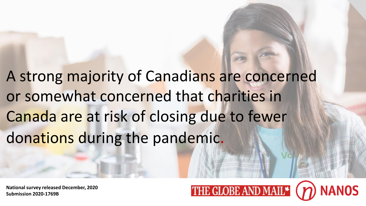A strong majority of Canadians are concerned or somewhat concerned that charities in Canada are at risk of closing due to fewer donations during the pandemic.

**National survey released December, 2020 Submission 2020-1769B**

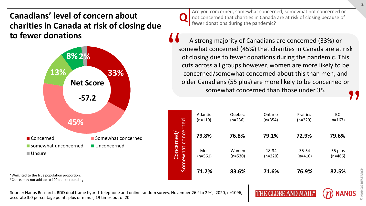## **Canadians' level of concern about charities in Canada at risk of closing due to fewer donations**



\*Weighted to the true population proportion.

\*Charts may not add up to 100 due to rounding.

Source: Nanos Research, RDD dual frame hybrid telephone and online random survey, November 26<sup>th</sup> to 29<sup>th</sup>, 2020, n=1096, accurate 3.0 percentage points plus or minus, 19 times out of 20.

 $\mathbf{Q}$ 

Are you concerned, somewhat concerned, somewhat not concerned or not concerned that charities in Canada are at risk of closing because of fewer donations during the pandemic?

A strong majority of Canadians are concerned (33%) or somewhat concerned (45%) that charities in Canada are at risk of closing due to fewer donations during the pandemic. This cuts across all groups however, women are more likely to be concerned/somewhat concerned about this than men, and older Canadians (55 plus) are more likely to be concerned or somewhat concerned than those under 35. " **"** 

|            | Atlantic  | Quebec    | Ontario   | Prairies  | BC        |
|------------|-----------|-----------|-----------|-----------|-----------|
|            | $(n=110)$ | $(n=236)$ | $(n=354)$ | $(n=229)$ | $(n=167)$ |
| concerned  | 79.8%     | 76.8%     | 79.1%     | 72.9%     | 79.6%     |
| Concerned, | Men       | Women     | 18-34     | 35-54     | 55 plus   |
| Somewhat   | $(n=561)$ | (n=530)   | $(n=220)$ | $(n=410)$ | $(n=466)$ |
|            | 71.2%     | 83.6%     | 71.6%     | 76.9%     | 82.5%     |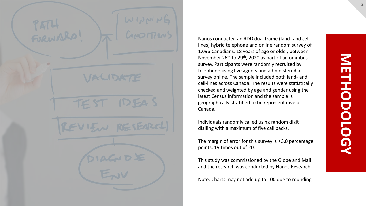TEST

Nanos conducted an RDD dual frame (land- and celllines) hybrid telephone and online random survey of 1,096 Canadians, 18 years of age or older, between November 26th to 29th, 2020 as part of an omnibus survey. Participants were randomly recruited by telephone using live agents and administered a survey online. The sample included both land- and cell-lines across Canada. The results were statistically checked and weighted by age and gender using the latest Census information and the sample is geographically stratified to be representative of Canada.

Individuals randomly called using random digit dialling with a maximum of five call backs.

The margin of error for this survey is  $\pm 3.0$  percentage points, 19 times out of 20.

This study was commissioned by the Globe and Mail and the research was conducted by Nanos Research.

Note: Charts may not add up to 100 due to rounding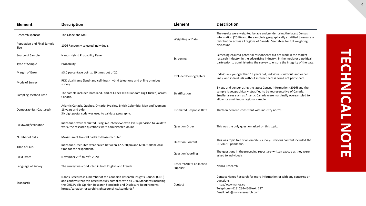| <b>Element</b>                      | <b>Description</b>                                                                                                                                                                                                                                                                                  | <b>Element</b>                       | <b>Description</b>                                                                                                                                                                                                                                          |  |  |  |  |
|-------------------------------------|-----------------------------------------------------------------------------------------------------------------------------------------------------------------------------------------------------------------------------------------------------------------------------------------------------|--------------------------------------|-------------------------------------------------------------------------------------------------------------------------------------------------------------------------------------------------------------------------------------------------------------|--|--|--|--|
| Research sponsor                    | The Globe and Mail                                                                                                                                                                                                                                                                                  | Weighting of Data                    | The results were weighted by age and gender using the latest Census<br>information (2016) and the sample is geographically stratified to ensure a                                                                                                           |  |  |  |  |
| Population and Final Sample<br>Size | 1096 Randomly selected individuals.                                                                                                                                                                                                                                                                 |                                      | distribution across all regions of Canada. See tables for full weighting<br>disclosure                                                                                                                                                                      |  |  |  |  |
| Source of Sample                    | Nanos Hybrid Probability Panel                                                                                                                                                                                                                                                                      | Screening                            | Screening ensured potential respondents did not work in the market<br>research industry, in the advertising industry, in the media or a political                                                                                                           |  |  |  |  |
| Type of Sample                      | Probability                                                                                                                                                                                                                                                                                         |                                      | party prior to administering the survey to ensure the integrity of the data.                                                                                                                                                                                |  |  |  |  |
| Margin of Error                     | $\pm$ 3.0 percentage points, 19 times out of 20.                                                                                                                                                                                                                                                    | <b>Excluded Demographics</b>         | Individuals younger than 18 years old; individuals without land or cell                                                                                                                                                                                     |  |  |  |  |
| Mode of Survey                      | RDD dual frame (land- and cell-lines) hybrid telephone and online omnibus<br>survey                                                                                                                                                                                                                 |                                      | lines, and individuals without internet access could not participate.                                                                                                                                                                                       |  |  |  |  |
| Sampling Method Base                | The sample included both land- and cell-lines RDD (Random Digit Dialed) across<br>Canada.                                                                                                                                                                                                           | Stratification                       | By age and gender using the latest Census information (2016) and the<br>sample is geographically stratified to be representative of Canada.<br>Smaller areas such as Atlantic Canada were marginally oversampled to<br>allow for a minimum regional sample. |  |  |  |  |
| Demographics (Captured)             | Atlantic Canada, Quebec, Ontario, Prairies, British Columbia; Men and Women;<br>18 years and older.<br>Six digit postal code was used to validate geography.                                                                                                                                        | <b>Estimated Response Rate</b>       | Thirteen percent, consistent with industry norms.                                                                                                                                                                                                           |  |  |  |  |
| Fieldwork/Validation                | Individuals were recruited using live interviews with live supervision to validate<br>work, the research questions were administered online                                                                                                                                                         | <b>Question Order</b>                | This was the only question asked on this topic.                                                                                                                                                                                                             |  |  |  |  |
| Number of Calls                     | Maximum of five call backs to those recruited.                                                                                                                                                                                                                                                      |                                      | This was topic two of an omnibus survey. Previous content included the                                                                                                                                                                                      |  |  |  |  |
| Time of Calls                       | Individuals recruited were called between 12-5:30 pm and 6:30-9:30pm local<br>time for the respondent.                                                                                                                                                                                              | <b>Question Content</b>              | COVID-19 pandemic.                                                                                                                                                                                                                                          |  |  |  |  |
| <b>Field Dates</b>                  | November 26th to 29th, 2020                                                                                                                                                                                                                                                                         | <b>Question Wording</b>              | The questions in the preceding report are written exactly as they were<br>asked to individuals.                                                                                                                                                             |  |  |  |  |
| Language of Survey                  | The survey was conducted in both English and French.                                                                                                                                                                                                                                                | Research/Data Collection<br>Supplier | Nanos Research                                                                                                                                                                                                                                              |  |  |  |  |
| Standards                           | Nanos Research is a member of the Canadian Research Insights Council (CRIC)<br>and confirms that this research fully complies with all CRIC Standards including<br>the CRIC Public Opinion Research Standards and Disclosure Requirements.<br>https://canadianresearchinsightscouncil.ca/standards/ | Contact                              | Contact Nanos Research for more information or with any concerns or<br>questions.<br>http://www.nanos.co<br>Telephone: (613) 234-4666 ext. 237<br>Email: info@nanosresearch.com.                                                                            |  |  |  |  |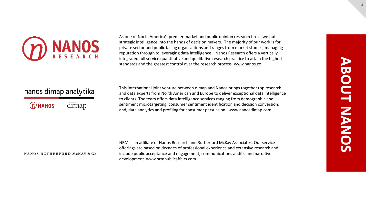

As one of North America's premier market and public opinion research firms, we put strategic intelligence into the hands of decision makers. The majority of our work is for private sector and public facing organizations and ranges from market studies, managing reputation through to leveraging data intelligence. Nanos Research offers a vertically integrated full service quantitative and qualitative research practice to attain the highest standards and the greatest control over the research process. [www.nanos.co](http://www.nanos.co/)

## nanos dimap analytika

| ${\cal D}$ NANOS | dimap |
|------------------|-------|
|------------------|-------|

This international joint venture between [dimap](http://dimap.de/en/HOMEen) and [Nanos](http://nanos.co/) brings together top research and data experts from North American and Europe to deliver exceptional data intelligence to clients. The team offers data intelligence services ranging from demographic and sentiment microtargeting; consumer sentiment identification and decision conversion; and, data analytics and profiling for consumer persuasion. [www.nanosdimap.com](http://www.nanosdimap.com/)

## NANOS RUTHERFORD McKAY & Co.

NRM is an affiliate of Nanos Research and Rutherford McKay Associates. Our service offerings are based on decades of professional experience and extensive research and include public acceptance and engagement, communications audits, and narrative development. [www.nrmpublicaffairs.com](http://nrmpublicaffairs.com/index.html)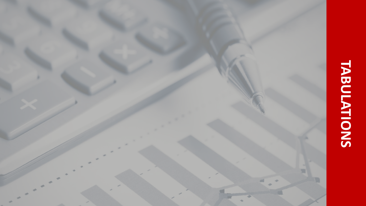